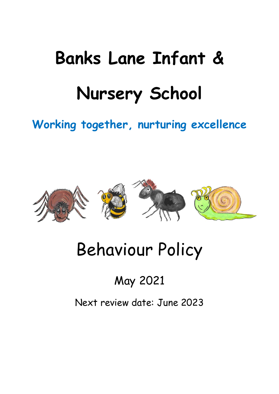# **Banks Lane Infant & Nursery School**

## **Working together, nurturing excellence**



## Behaviour Policy

## May 2021

Next review date: June 2023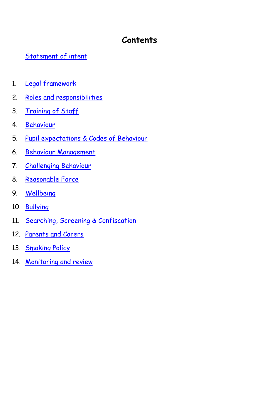### **Contents**

#### [Statement of intent](#page-1-0)

- 1. Legal [framework](#page-4-0)
- 2. [Roles and responsibilities](#page-5-0)
- 3. [Training](#page-6-0) of Staff
- 4. [Behaviour](#page-6-1)
- 5. [Pupil expectations](#page-8-0) & Codes of Behaviour
- 6. [Behaviour](#page-8-1) Management
- 7. Challenging Behaviour
- 8. Reasonable Force
- 9. Wellbeing
- 10. Bullying
- 11. Searching, Screening & Confiscation
- 12. [Parents and Carers](#page-11-0)
- 13. [Smoking Policy](#page-12-0)
- <span id="page-1-0"></span>14. [Monitoring and review](#page-13-0)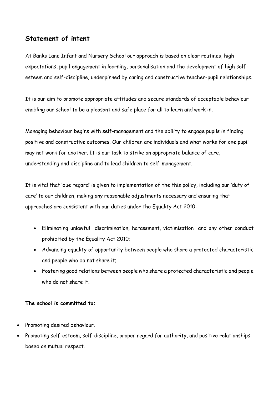#### **Statement of intent**

At Banks Lane Infant and Nursery School our approach is based on clear routines, high expectations, pupil engagement in learning, personalisation and the development of high selfesteem and self-discipline, underpinned by caring and constructive teacher-pupil relationships.

It is our aim to promote appropriate attitudes and secure standards of acceptable behaviour enabling our school to be a pleasant and safe place for all to learn and work in.

Managing behaviour begins with self-management and the ability to engage pupils in finding positive and constructive outcomes. Our children are individuals and what works for one pupil may not work for another. It is our task to strike an appropriate balance of care, understanding and discipline and to lead children to self-management.

It is vital that 'due regard' is given to implementation of the this policy, including our 'duty of care' to our children, making any reasonable adjustments necessary and ensuring that approaches are consistent with our duties under the Equality Act 2010:

- Eliminating unlawful discrimination, harassment, victimisation and any other conduct prohibited by the Equality Act 2010;
- Advancing equality of opportunity between people who share a protected characteristic and people who do not share it;
- Fostering good relations between people who share a protected characteristic and people who do not share it.

#### **The school is committed to:**

- Promoting desired behaviour.
- Promoting self-esteem, self-discipline, proper regard for authority, and positive relationships based on mutual respect.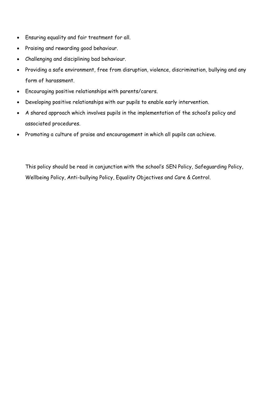- Ensuring equality and fair treatment for all.
- Praising and rewarding good behaviour.
- Challenging and disciplining bad behaviour.
- Providing a safe environment, free from disruption, violence, discrimination, bullying and any form of harassment.
- Encouraging positive relationships with parents/carers.
- Developing positive relationships with our pupils to enable early intervention.
- A shared approach which involves pupils in the implementation of the school's policy and associated procedures.
- Promoting a culture of praise and encouragement in which all pupils can achieve.

This policy should be read in conjunction with the school's SEN Policy, Safeguarding Policy, Wellbeing Policy, Anti-bullying Policy, Equality Objectives and Care & Control.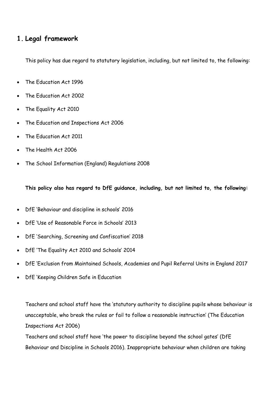#### <span id="page-4-0"></span>**1. Legal framework**

This policy has due regard to statutory legislation, including, but not limited to, the following:

- The Education Act 1996
- The Education Act 2002
- The Equality Act 2010
- The Education and Inspections Act 2006
- The Education Act 2011
- The Health Act 2006
- The School Information (England) Regulations 2008

**This policy also has regard to DfE guidance, including, but not limited to, the following:**

- DfE 'Behaviour and discipline in schools' 2016
- DfE 'Use of Reasonable Force in Schools' 2013
- DfE 'Searching, Screening and Confiscation' 2018
- DfE 'The Equality Act 2010 and Schools' 2014
- DfE 'Exclusion from Maintained Schools, Academies and Pupil Referral Units in England 2017
- DfE 'Keeping Children Safe in Education

Teachers and school staff have the 'statutory authority to discipline pupils whose behaviour is unacceptable, who break the rules or fail to follow a reasonable instruction' (The Education Inspections Act 2006)

Teachers and school staff have 'the power to discipline beyond the school gates' (DfE Behaviour and Discipline in Schools 2016). Inappropriate behaviour when children are taking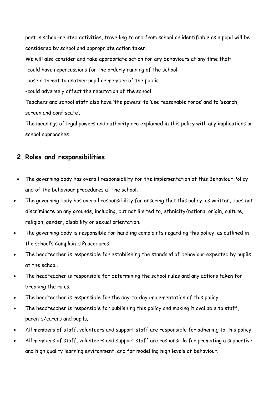part in school-related activities, travelling to and from school or identifiable as a pupil will be considered by school and appropriate action taken.

We will also consider and take appropriate action for any behaviours at any time that:

-could have repercussions for the orderly running of the school

-pose a threat to another pupil or member of the public

-could adversely affect the reputation of the school

Teachers and school staff also have 'the powers' to 'use reasonable force' and to 'search, screen and confiscate'.

The meanings of legal powers and authority are explained in this policy with any implications or school approaches.

#### <span id="page-5-0"></span>**2. Roles and responsibilities**

- The governing body has overall responsibility for the implementation of this Behaviour Policy and of the behaviour procedures at the school.
- The governing body has overall responsibility for ensuring that this policy, as written, does not discriminate on any grounds, including, but not limited to, ethnicity/national origin, culture, religion, gender, disability or sexual orientation.
- The governing body is responsible for handling complaints regarding this policy, as outlined in the school's Complaints Procedures.
- The headteacher is responsible for establishing the standard of behaviour expected by pupils at the school.
- The headteacher is responsible for determining the school rules and any actions taken for breaking the rules.
- The headteacher is responsible for the day-to-day implementation of this policy.
- The headteacher is responsible for publishing this policy and making it available to staff, parents/carers and pupils.
- All members of staff, volunteers and support staff are responsible for adhering to this policy.
- All members of staff, volunteers and support staff are responsible for promoting a supportive and high quality learning environment, and for modelling high levels of behaviour.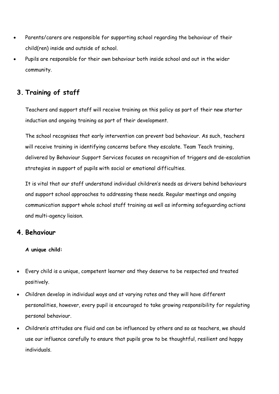- Parents/carers are responsible for supporting school regarding the behaviour of their child(ren) inside and outside of school.
- Pupils are responsible for their own behaviour both inside school and out in the wider community.

#### <span id="page-6-0"></span>**3. Training of staff**

Teachers and support staff will receive training on this policy as part of their new starter induction and ongoing training as part of their development.

The school recognises that early intervention can prevent bad behaviour. As such, teachers will receive training in identifying concerns before they escalate. Team Teach training, delivered by Behaviour Support Services focuses on recognition of triggers and de-escalation strategies in support of pupils with social or emotional difficulties.

It is vital that our staff understand individual children's needs as drivers behind behaviours and support school approaches to addressing these needs. Regular meetings and ongoing communication support whole school staff training as well as informing safeguarding actions and multi-agency liaison.

#### <span id="page-6-1"></span>**4. Behaviour**

#### **A unique child:**

- Every child is a unique, competent learner and they deserve to be respected and treated positively.
- Children develop in individual ways and at varying rates and they will have different personalities, however, every pupil is encouraged to take growing responsibility for regulating personal behaviour.
- Children's attitudes are fluid and can be influenced by others and so as teachers, we should use our influence carefully to ensure that pupils grow to be thoughtful, resilient and happy individuals.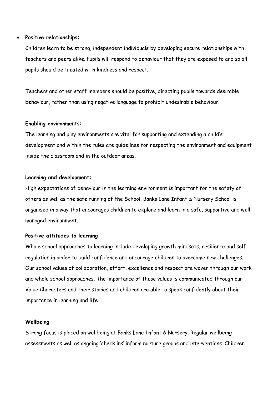#### **Positive relationships:**

Children learn to be strong, independent individuals by developing secure relationships with teachers and peers alike. Pupils will respond to behaviour that they are exposed to and so all pupils should be treated with kindness and respect.

Teachers and other staff members should be positive, directing pupils towards desirable behaviour, rather than using negative language to prohibit undesirable behaviour.

#### **Enabling environments:**

The learning and play environments are vital for supporting and extending a child's development and within the rules are guidelines for respecting the environment and equipment inside the classroom and in the outdoor areas.

#### **Learning and development:**

High expectations of behaviour in the learning environment is important for the safety of others as well as the safe running of the School. Banks Lane Infant & Nursery School is organised in a way that encourages children to explore and learn in a safe, supportive and well managed environment.

#### **Positive attitudes to learning**

Whole school approaches to learning include developing growth mindsets, resilience and selfregulation in order to build confidence and encourage children to overcome new challenges. Our school values of collaboration, effort, excellence and respect are woven through our work and whole school approaches. The importance of these values is communicated through our Value Characters and their stories and children are able to speak confidently about their importance in learning and life.

#### **Wellbeing**

Strong focus is placed on wellbeing at Banks Lane Infant & Nursery. Regular wellbeing assessments as well as ongoing 'check ins' inform nurture groups and interventions. Children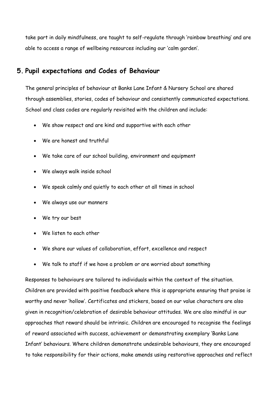take part in daily mindfulness, are taught to self-regulate through 'rainbow breathing' and are able to access a range of wellbeing resources including our 'calm garden'.

#### <span id="page-8-0"></span>**5. Pupil expectations and Codes of Behaviour**

The general principles of behaviour at Banks Lane Infant & Nursery School are shared through assemblies, stories, codes of behaviour and consistently communicated expectations. School and class codes are regularly revisited with the children and include:

- We show respect and are kind and supportive with each other
- We are honest and truthful
- We take care of our school building, environment and equipment
- We always walk inside school
- We speak calmly and quietly to each other at all times in school
- We always use our manners
- We try our best
- We listen to each other
- We share our values of collaboration, effort, excellence and respect
- We talk to staff if we have a problem or are worried about something

<span id="page-8-1"></span>Responses to behaviours are tailored to individuals within the context of the situation. Children are provided with positive feedback where this is appropriate ensuring that praise is worthy and never 'hollow'. Certificates and stickers, based on our value characters are also given in recognition/celebration of desirable behaviour attitudes. We are also mindful in our approaches that reward should be intrinsic. Children are encouraged to recognise the feelings of reward associated with success, achievement or demonstrating exemplary 'Banks Lane Infant' behaviours. Where children demonstrate undesirable behaviours, they are encouraged to take responsibility for their actions, make amends using restorative approaches and reflect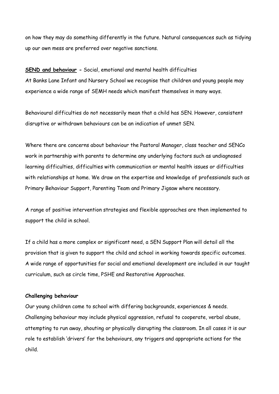on how they may do something differently in the future. Natural consequences such as tidying up our own mess are preferred over negative sanctions.

**SEND and behaviour -** Social, emotional and mental health difficulties At Banks Lane Infant and Nursery School we recognise that children and young people may experience a wide range of SEMH needs which manifest themselves in many ways.

Behavioural difficulties do not necessarily mean that a child has SEN. However, consistent disruptive or withdrawn behaviours can be an indication of unmet SEN.

Where there are concerns about behaviour the Pastoral Manager, class teacher and SENCo work in partnership with parents to determine any underlying factors such as undiagnosed learning difficulties, difficulties with communication or mental health issues or difficulties with relationships at home. We draw on the expertise and knowledge of professionals such as Primary Behaviour Support, Parenting Team and Primary Jigsaw where necessary.

A range of positive intervention strategies and flexible approaches are then implemented to support the child in school.

If a child has a more complex or significant need, a SEN Support Plan will detail all the provision that is given to support the child and school in working towards specific outcomes. A wide range of opportunities for social and emotional development are included in our taught curriculum, such as circle time, PSHE and Restorative Approaches.

#### **Challenging behaviour**

Our young children come to school with differing backgrounds, experiences & needs. Challenging behaviour may include physical aggression, refusal to cooperate, verbal abuse, attempting to run away, shouting or physically disrupting the classroom. In all cases it is our role to establish 'drivers' for the behaviours, any triggers and appropriate actions for the child.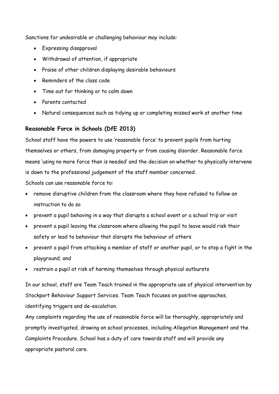Sanctions for undesirable or challenging behaviour may include:

- Expressing disapproval
- Withdrawal of attention, if appropriate
- Praise of other children displaying desirable behaviours
- Reminders of the class code
- Time out for thinking or to calm down
- Parents contacted
- Natural consequences such as tidying up or completing missed work at another time

#### **Reasonable Force in Schools (DfE 2013)**

School staff have the powers to use 'reasonable force' to prevent pupils from hurting themselves or others, from damaging property or from causing disorder. Reasonable force means 'using no more force than is needed' and the decision on whether to physically intervene is down to the professional judgement of the staff member concerned.

Schools can use reasonable force to:

- remove disruptive children from the classroom where they have refused to follow an instruction to do so
- prevent a pupil behaving in a way that disrupts a school event or a school trip or visit
- prevent a pupil leaving the classroom where allowing the pupil to leave would risk their safety or lead to behaviour that disrupts the behaviour of others
- prevent a pupil from attacking a member of staff or another pupil, or to stop a fight in the playground; and
- restrain a pupil at risk of harming themselves through physical outbursts

In our school, staff are Team Teach trained in the appropriate use of physical intervention by Stockport Behaviour Support Services. Team Teach focuses on positive approaches, identifying triggers and de-escalation.

Any complaints regarding the use of reasonable force will be thoroughly, appropriately and promptly investigated, drawing on school processes, including Allegation Management and the Complaints Procedure. School has a duty of care towards staff and will provide any appropriate pastoral care.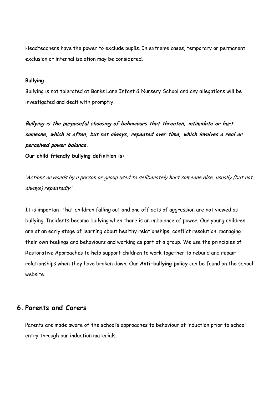Headteachers have the power to exclude pupils. In extreme cases, temporary or permanent exclusion or internal isolation may be considered.

#### **Bullying**

Bullying is not tolerated at Banks Lane Infant & Nursery School and any allegations will be investigated and dealt with promptly.

**Bullying is the purposeful choosing of behaviours that threaten, intimidate or hurt someone, which is often, but not always, repeated over time, which involves a real or perceived power balance.**

**Our child friendly bullying definition is:**

'Actions or words by a person or group used to deliberately hurt someone else, usually (but not always) repeatedly.'

It is important that children falling out and one off acts of aggression are not viewed as bullying. Incidents become bullying when there is an imbalance of power. Our young children are at an early stage of learning about healthy relationships, conflict resolution, managing their own feelings and behaviours and working as part of a group. We use the principles of Restorative Approaches to help support children to work together to rebuild and repair relationships when they have broken down. Our **Anti-bullying policy** can be found on the school website.

#### <span id="page-11-0"></span>**6. Parents and Carers**

Parents are made aware of the school's approaches to behaviour at induction prior to school entry through our induction materials.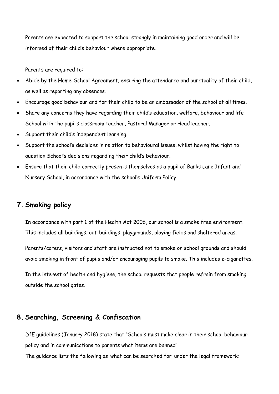Parents are expected to support the school strongly in maintaining good order and will be informed of their child's behaviour where appropriate.

Parents are required to:

- Abide by the Home-School Agreement, ensuring the attendance and punctuality of their child, as well as reporting any absences.
- Encourage good behaviour and for their child to be an ambassador of the school at all times.
- Share any concerns they have regarding their child's education, welfare, behaviour and life School with the pupil's classroom teacher, Pastoral Manager or Headteacher.
- Support their child's independent learning.
- Support the school's decisions in relation to behavioural issues, whilst having the right to question School's decisions regarding their child's behaviour.
- Ensure that their child correctly presents themselves as a pupil of Banks Lane Infant and Nursery School, in accordance with the school's Uniform Policy.

#### <span id="page-12-0"></span>**7. Smoking policy**

In accordance with part 1 of the Health Act 2006, our school is a smoke free environment. This includes all buildings, out-buildings, playgrounds, playing fields and sheltered areas.

Parents/carers, visitors and staff are instructed not to smoke on school grounds and should avoid smoking in front of pupils and/or encouraging pupils to smoke. This includes e-cigarettes.

In the interest of health and hygiene, the school requests that people refrain from smoking outside the school gates.

#### **8. Searching, Screening & Confiscation**

DfE guidelines (January 2018) state that "Schools must make clear in their school behaviour policy and in communications to parents what items are banned'

The guidance lists the following as 'what can be searched for' under the legal framework: